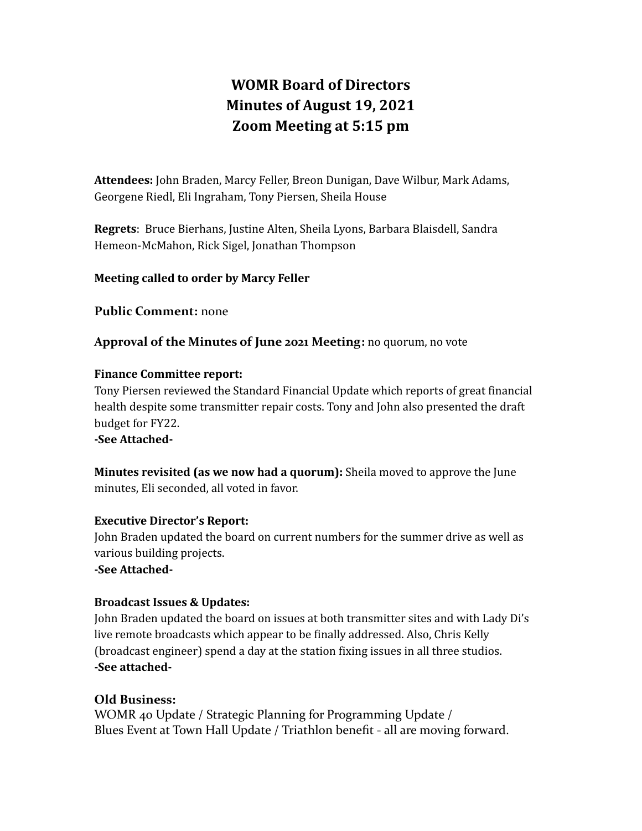# **WOMR Board of Directors Minutes of August 19, 2021 Zoom Meeting at 5:15 pm**

**Attendees:** John Braden, Marcy Feller, Breon Dunigan, Dave Wilbur, Mark Adams, Georgene Riedl, Eli Ingraham, Tony Piersen, Sheila House

**Regrets**: Bruce Bierhans, Justine Alten, Sheila Lyons, Barbara Blaisdell, Sandra Hemeon-McMahon, Rick Sigel, Jonathan Thompson

#### **Meeting called to order by Marcy Feller**

**Public Comment:** none

**Approval of the Minutes of June 2021 Meeting:** no quorum, no vote

#### **Finance Committee report:**

Tony Piersen reviewed the Standard Financial Update which reports of great financial health despite some transmitter repair costs. Tony and John also presented the draft budget for FY22.

**-See Attached-**

**Minutes revisited (as we now had a quorum):** Sheila moved to approve the June minutes, Eli seconded, all voted in favor.

#### **Executive Director's Report:**

John Braden updated the board on current numbers for the summer drive as well as various building projects.

**-See Attached-**

## **Broadcast Issues & Updates:**

John Braden updated the board on issues at both transmitter sites and with Lady Di's live remote broadcasts which appear to be finally addressed. Also, Chris Kelly (broadcast engineer) spend a day at the station fixing issues in all three studios. **-See attached-**

## **Old Business:**

WOMR 40 Update / Strategic Planning for Programming Update / Blues Event at Town Hall Update / Triathlon benefit - all are moving forward.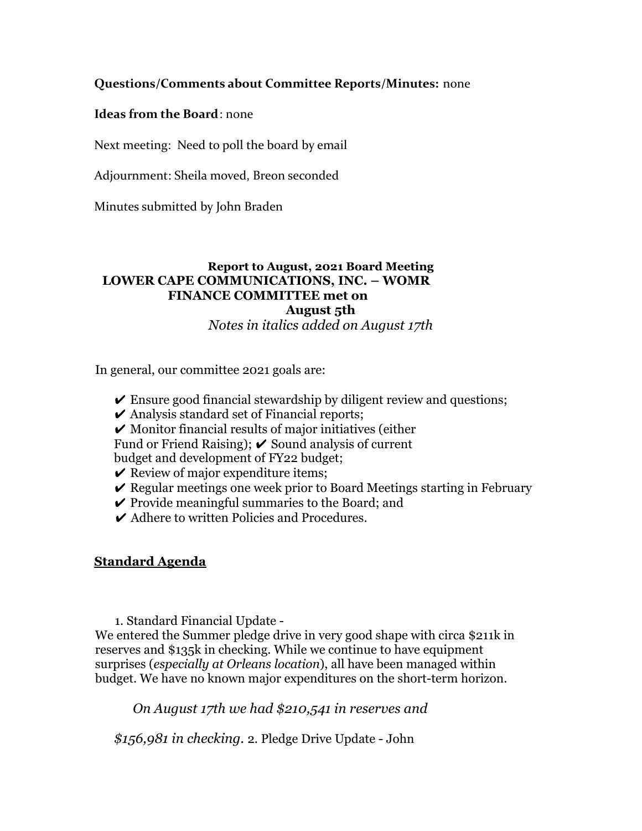### **Questions/Comments about Committee Reports/Minutes:** none

#### **Ideas from the Board**: none

Next meeting: Need to poll the board by email

Adjournment: Sheila moved, Breon seconded

Minutes submitted by John Braden

## **Report to August, 2021 Board Meeting LOWER CAPE COMMUNICATIONS, INC. – WOMR FINANCE COMMITTEE met on**

#### **August 5th**

*Notes in italics added on August 17th*

In general, our committee 2021 goals are:

- $\triangleright$  Ensure good financial stewardship by diligent review and questions;
- $\triangleright$  Analysis standard set of Financial reports;
- $\boldsymbol{\checkmark}$  Monitor financial results of major initiatives (either
- Fund or Friend Raising);  $\triangleright$  Sound analysis of current

budget and development of FY22 budget;

- $\checkmark$  Review of major expenditure items;
- $\vee$  Regular meetings one week prior to Board Meetings starting in February
- $\vee$  Provide meaningful summaries to the Board; and
- **✓** Adhere to written Policies and Procedures.

#### **Standard Agenda**

1. Standard Financial Update -

We entered the Summer pledge drive in very good shape with circa \$211k in reserves and \$135k in checking. While we continue to have equipment surprises (*especially at Orleans location*), all have been managed within budget. We have no known major expenditures on the short-term horizon.

*On August 17th we had \$210,541 in reserves and*

*\$156,981 in checking.* 2. Pledge Drive Update - John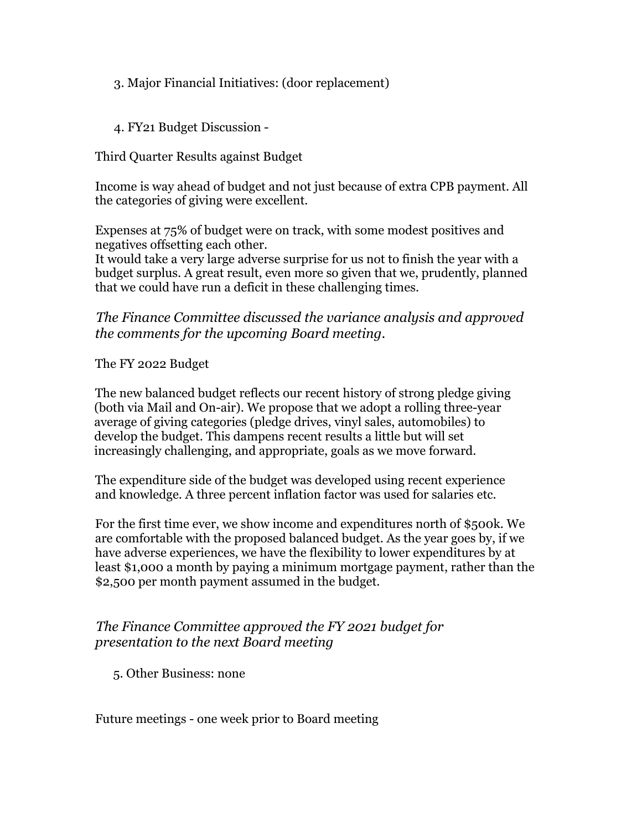3. Major Financial Initiatives: (door replacement)

4. FY21 Budget Discussion -

Third Quarter Results against Budget

Income is way ahead of budget and not just because of extra CPB payment. All the categories of giving were excellent.

Expenses at 75% of budget were on track, with some modest positives and negatives offsetting each other.

It would take a very large adverse surprise for us not to finish the year with a budget surplus. A great result, even more so given that we, prudently, planned that we could have run a deficit in these challenging times.

*The Finance Committee discussed the variance analysis and approved the comments for the upcoming Board meeting.*

The FY 2022 Budget

The new balanced budget reflects our recent history of strong pledge giving (both via Mail and On-air). We propose that we adopt a rolling three-year average of giving categories (pledge drives, vinyl sales, automobiles) to develop the budget. This dampens recent results a little but will set increasingly challenging, and appropriate, goals as we move forward.

The expenditure side of the budget was developed using recent experience and knowledge. A three percent inflation factor was used for salaries etc.

For the first time ever, we show income and expenditures north of \$500k. We are comfortable with the proposed balanced budget. As the year goes by, if we have adverse experiences, we have the flexibility to lower expenditures by at least \$1,000 a month by paying a minimum mortgage payment, rather than the \$2,500 per month payment assumed in the budget.

## *The Finance Committee approved the FY 2021 budget for presentation to the next Board meeting*

5. Other Business: none

Future meetings - one week prior to Board meeting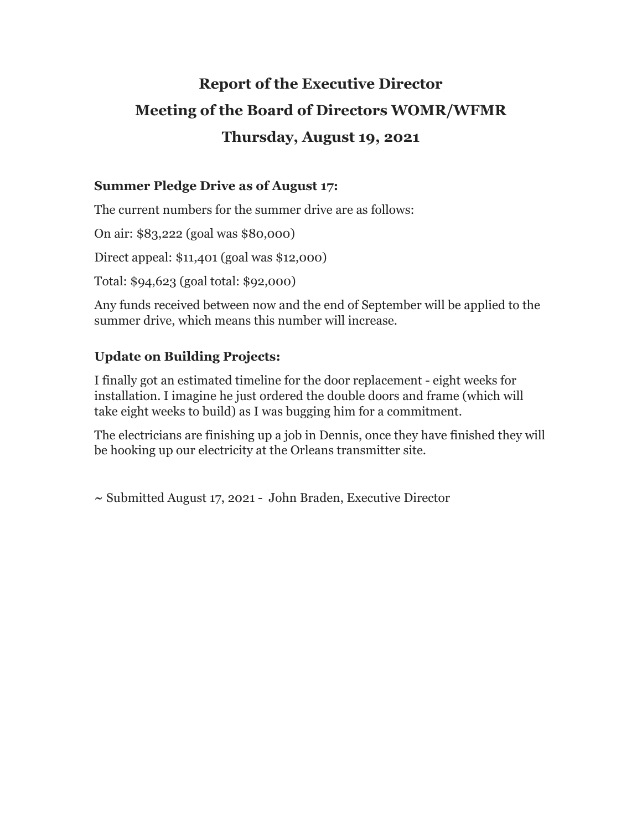# **Report of the Executive Director Meeting of the Board of Directors WOMR/WFMR Thursday, August 19, 2021**

## **Summer Pledge Drive as of August 17:**

The current numbers for the summer drive are as follows:

On air: \$83,222 (goal was \$80,000)

Direct appeal: \$11,401 (goal was \$12,000)

Total: \$94,623 (goal total: \$92,000)

Any funds received between now and the end of September will be applied to the summer drive, which means this number will increase.

## **Update on Building Projects:**

I finally got an estimated timeline for the door replacement - eight weeks for installation. I imagine he just ordered the double doors and frame (which will take eight weeks to build) as I was bugging him for a commitment.

The electricians are finishing up a job in Dennis, once they have finished they will be hooking up our electricity at the Orleans transmitter site.

**~** Submitted August 17, 2021 - John Braden, Executive Director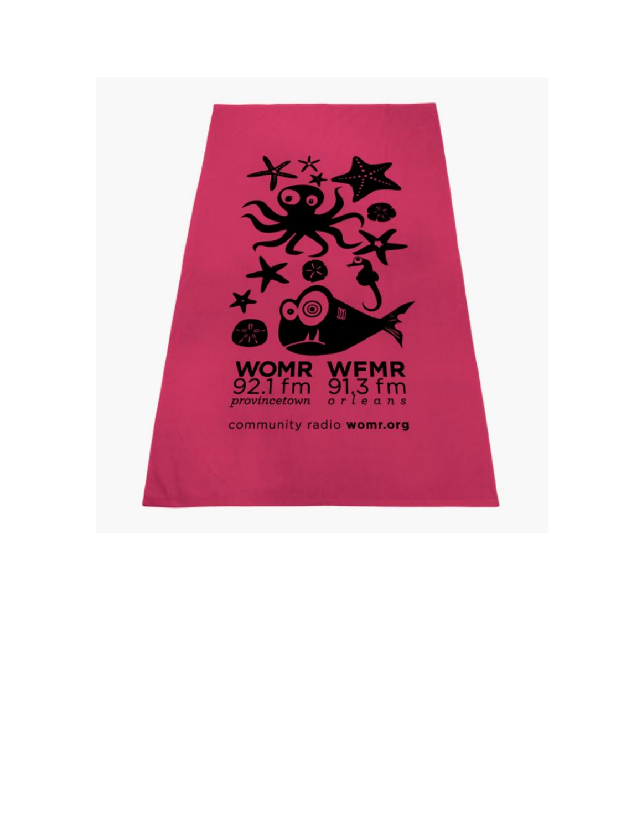